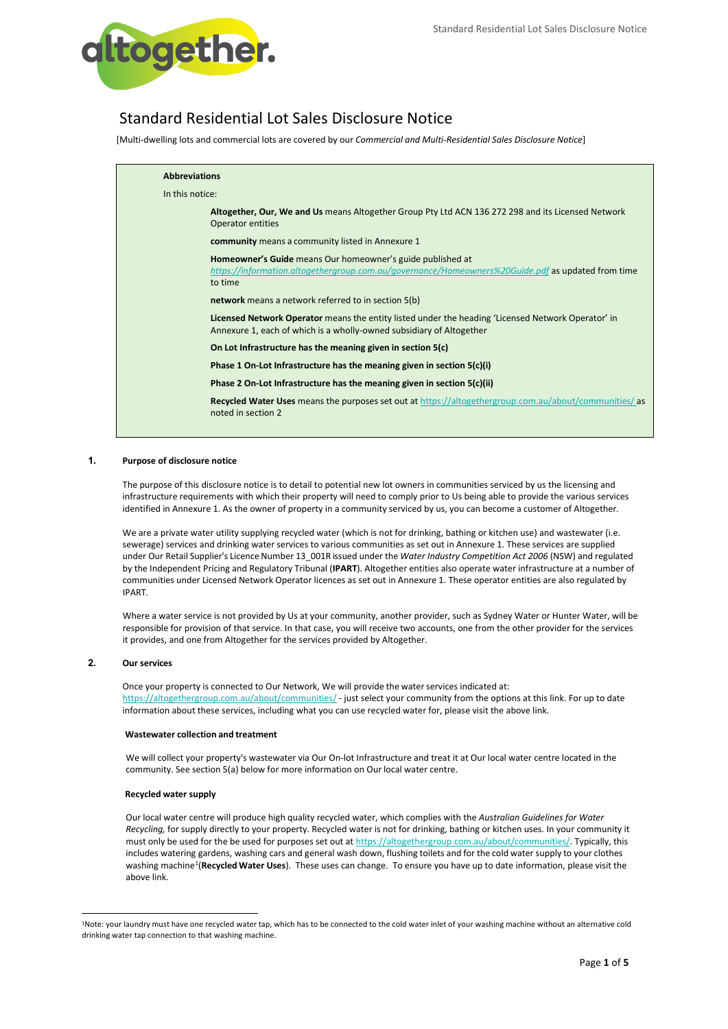

# Standard Residential Lot Sales Disclosure Notice

[Multi-dwelling lots and commercial lots are covered by our *Commercial and Multi-Residential Sales Disclosure Notice*]

| <b>Abbreviations</b>                                                                                                                                                              |  |  |  |  |
|-----------------------------------------------------------------------------------------------------------------------------------------------------------------------------------|--|--|--|--|
| In this notice:                                                                                                                                                                   |  |  |  |  |
| Altogether, Our, We and Us means Altogether Group Pty Ltd ACN 136 272 298 and its Licensed Network<br>Operator entities                                                           |  |  |  |  |
| <b>community</b> means a community listed in Annexure 1                                                                                                                           |  |  |  |  |
| <b>Homeowner's Guide</b> means Our homeowner's guide published at<br>https://information.altogethergroup.com.au/governance/Homeowners%20Guide.pdf as updated from time<br>to time |  |  |  |  |
| <b>network</b> means a network referred to in section 5(b)                                                                                                                        |  |  |  |  |
| Licensed Network Operator means the entity listed under the heading 'Licensed Network Operator' in<br>Annexure 1, each of which is a wholly-owned subsidiary of Altogether        |  |  |  |  |
| On Lot Infrastructure has the meaning given in section 5(c)                                                                                                                       |  |  |  |  |
| Phase 1 On-Lot Infrastructure has the meaning given in section 5(c)(i)                                                                                                            |  |  |  |  |
| Phase 2 On-Lot Infrastructure has the meaning given in section $5(c)(ii)$                                                                                                         |  |  |  |  |
| <b>Recycled Water Uses</b> means the purposes set out at https://altogethergroup.com.au/about/communities/ as<br>noted in section 2                                               |  |  |  |  |

# **1. Purpose of disclosure notice**

The purpose of this disclosure notice is to detail to potential new lot owners in communities serviced by us the licensing and infrastructure requirements with which their property will need to comply prior to Us being able to provide the various services identified in Annexure 1. As the owner of property in a community serviced by us, you can become a customer of Altogether.

We are a private water utility supplying recycled water (which is not for drinking, bathing or kitchen use) and wastewater (i.e. sewerage) services and drinking water services to various communities as set out in Annexure 1. These services are supplied under Our Retail Supplier's Licence Number 13 001R issued under the *Water Industry Competition Act 2006* (NSW) and regulated by the Independent Pricing and Regulatory Tribunal (**IPART**). Altogether entities also operate water infrastructure at a number of communities under Licensed Network Operator licences as set out in Annexure 1. These operator entities are also regulated by IPART.

Where a water service is not provided by Us at your community, another provider, such as Sydney Water or Hunter Water, will be responsible for provision of that service. In that case, you will receive two accounts, one from the other provider for the services it provides, and one from Altogether for the services provided by Altogether.

# **2. Our services**

Once your property is connected to Our Network, We will provide the water services indicated at: <https://altogethergroup.com.au/about/communities/> - just select your community from the options at this link. For up to date information about these services, including what you can use recycled water for, please visit the above link.

#### **Wastewater collection and treatment**

We will collect your property's wastewater via Our On-lot Infrastructure and treat it at Our local water centre located in the community. See section 5(a) below for more information on Our local water centre.

#### **Recycled water supply**

Our local water centre will produce high quality recycled water, which complies with the *Australian Guidelines for Water Recycling,* for supply directly to your property. Recycled water is not for drinking, bathing or kitchen uses. In your community it must only be used for the be used for purposes set out at [https://altogethergroup.com.au/about/communities/.](https://altogethergroup.com.au/about/communities/) Typically, this includes watering gardens, washing cars and general wash down, flushing toilets and for the cold water supply to your clothes washing machine[1](#page-0-0)(**RecycledWater Uses**). These uses can change. To ensure you have up to date information, please visit the above link.

<span id="page-0-0"></span><sup>1</sup>Note: your laundry must have one recycled water tap, which has to be connected to the cold water inlet of your washing machine without an alternative cold drinking water tap connection to that washing machine.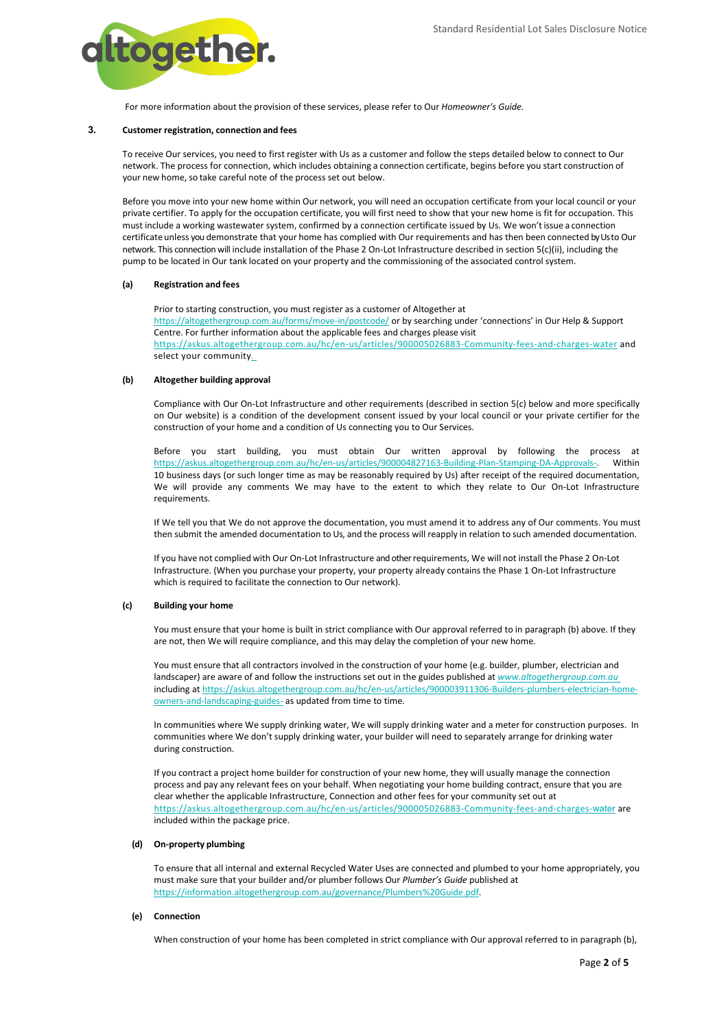

For more information about the provision of these services, please refer to Our *Homeowner's Guide.*

# **3. Customer registration, connection and fees**

To receive Our services, you need to first register with Us as a customer and follow the steps detailed below to connect to Our network. The process for connection, which includes obtaining a connection certificate, begins before you start construction of your new home, so take careful note of the process set out below.

Before you move into your new home within Our network, you will need an occupation certificate from your local council or your private certifier. To apply for the occupation certificate, you will first need to show that your new home is fit for occupation. This must include a working wastewater system, confirmed by a connection certificate issued by Us. We won't issue a connection certificate unless you demonstrate that your home has complied with Our requirements and has then been connected by Us to Our network. This connection will include installation of the Phase 2 On-Lot Infrastructure described in section 5(c)(ii), including the pump to be located in Our tank located on your property and the commissioning of the associated control system.

#### **(a) Registration and fees**

Prior to starting construction, you must register as a customer of Altogether at <https://altogethergroup.com.au/forms/move-in/postcode/> or by searching under 'connections' in Our Help & Support Centre. For further information about the applicable fees and charges please visit <https://askus.altogethergroup.com.au/hc/en-us/articles/900005026883-Community-fees-and-charges-water> and select your community.

#### **(b) Altogether building approval**

Compliance with Our On-Lot Infrastructure and other requirements (described in section 5(c) below and more specifically on Our website) is a condition of the development consent issued by your local council or your private certifier for the construction of your home and a condition of Us connecting you to Our Services.

Before you start building, you must obtain Our written approval by following the process at [https://askus.altogethergroup.com.au/hc/en-us/articles/900004827163-Building-Plan-Stamping-DA-Approvals-.](https://askus.altogethergroup.com.au/hc/en-us/articles/900004827163-Building-Plan-Stamping-DA-Approvals-) Within 10 business days (or such longer time as may be reasonably required by Us) after receipt of the required documentation, We will provide any comments We may have to the extent to which they relate to Our On-Lot Infrastructure requirements.

If We tell you that We do not approve the documentation, you must amend it to address any of Our comments. You must then submit the amended documentation to Us, and the process will reapply in relation to such amended documentation.

If you have not complied with Our On-Lot Infrastructure and other requirements, We will not install the Phase 2 On-Lot Infrastructure. (When you purchase your property, your property already contains the Phase 1 On-Lot Infrastructure which is required to facilitate the connection to Our network).

### **(c) Building your home**

You must ensure that your home is built in strict compliance with Our approval referred to in paragraph (b) above. If they are not, then We will require compliance, and this may delay the completion of your new home.

You must ensure that all contractors involved in the construction of your home (e.g. builder, plumber, electrician and landscaper) are aware of and follow the instructions set out in the guides published at *[www.altogethergroup.com.au](http://www.altogethergroup.com.au/)* including a[t https://askus.altogethergroup.com.au/hc/en-us/articles/900003911306-Builders-plumbers-electrician-home](https://askus.altogethergroup.com.au/hc/en-us/articles/900003911306-Builders-plumbers-electrician-home-owners-and-landscaping-guides-)[owners-and-landscaping-guides-](https://askus.altogethergroup.com.au/hc/en-us/articles/900003911306-Builders-plumbers-electrician-home-owners-and-landscaping-guides-) as updated from time to time.

In communities where We supply drinking water, We will supply drinking water and a meter for construction purposes. In communities where We don't supply drinking water, your builder will need to separately arrange for drinking water during construction.

If you contract a project home builder for construction of your new home, they will usually manage the connection process and pay any relevant fees on your behalf. When negotiating your home building contract, ensure that you are clear whether the applicable Infrastructure, Connection and other fees for your community set out at [https://askus.altogethergroup.com.au/hc/en-us/articles/900005026883-Community-fees-and-charges-](https://askus.altogethergroup.com.au/hc/en-us/articles/900005026883-Community-fees-and-charges-water)[water](https://askus.altogethergroup.com.au/hc/en-us/articles/900005026883-Community-fees-and-charges-water) are included within the package price.

#### **(d) On-property plumbing**

To ensure that all internal and external Recycled Water Uses are connected and plumbed to your home appropriately, you must make sure that your builder and/or plumber follows Our *Plumber's Guide* published at [https://information.altogethergroup.com.au/governance/Plumbers%20Guide.pdf.](https://information.altogethergroup.com.au/governance/Plumbers%20Guide.pdf)

# **(e) Connection**

When construction of your home has been completed in strict compliance with Our approval referred to in paragraph (b),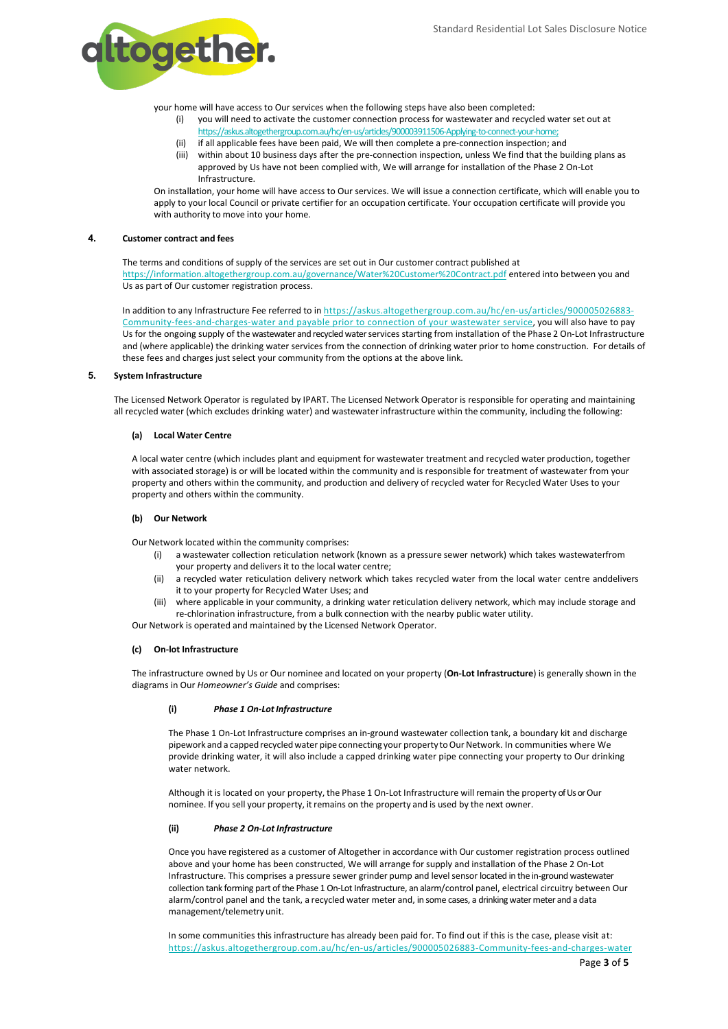

your home will have access to Our services when the following steps have also been completed:

- you will need to activate the customer connection process for wastewater and recycled water set out at [https://askus.altogethergroup.com.au/hc/en-us/articles/900003911506-Applying-to-connect-your-home;](https://askus.altogethergroup.com.au/hc/en-us/articles/900003911506-Applying-to-connect-your-home)
- (ii) if all applicable fees have been paid, We will then complete a pre-connection inspection; and (iii) within about 10 business days after the pre-connection inspection, unless We find that the building plans as
- approved by Us have not been complied with, We will arrange for installation of the Phase 2 On-Lot Infrastructure.

On installation, your home will have access to Our services. We will issue a connection certificate, which will enable you to apply to your local Council or private certifier for an occupation certificate. Your occupation certificate will provide you with authority to move into your home.

#### **4. Customer contract and fees**

The terms and conditions of supply of the services are set out in Our customer contract published at <https://information.altogethergroup.com.au/governance/Water%20Customer%20Contract.pdf> entered into between you and Us as part of Our customer registration process.

In addition to any Infrastructure Fee referred to i[n https://askus.altogethergroup.com.au/hc/en-us/articles/900005026883-](https://askus.altogethergroup.com.au/hc/en-us/articles/900005026883-Community-fees-and-charges-water) [Community-fees-and-charges-water](https://askus.altogethergroup.com.au/hc/en-us/articles/900005026883-Community-fees-and-charges-water) and payable prior to connection of your wastewater service, you will also have to pay Us for the ongoing supply of the wastewater and recycled water services starting from installation of the Phase 2 On-Lot Infrastructure and (where applicable) the drinking water services from the connection of drinking water prior to home construction. For details of these fees and charges just select your community from the options at the above link.

#### **5. System Infrastructure**

The Licensed Network Operator is regulated by IPART. The Licensed Network Operator is responsible for operating and maintaining all recycled water (which excludes drinking water) and wastewater infrastructure within the community, including the following:

#### **(a) Local Water Centre**

A local water centre (which includes plant and equipment for wastewater treatment and recycled water production, together with associated storage) is or will be located within the community and is responsible for treatment of wastewater from your property and others within the community, and production and delivery of recycled water for Recycled Water Uses to your property and others within the community.

#### **(b) Our Network**

Our Network located within the community comprises:

- a wastewater collection reticulation network (known as a pressure sewer network) which takes wastewaterfrom your property and delivers it to the local water centre;
- (ii) a recycled water reticulation delivery network which takes recycled water from the local water centre anddelivers it to your property for Recycled Water Uses; and
- (iii) where applicable in your community, a drinking water reticulation delivery network, which may include storage and re-chlorination infrastructure, from a bulk connection with the nearby public water utility.

Our Network is operated and maintained by the Licensed Network Operator.

#### **(c) On-lot Infrastructure**

The infrastructure owned by Us or Our nominee and located on your property (**On-Lot Infrastructure**) is generally shown in the diagrams in Our *Homeowner's Guide* and comprises:

#### **(i)** *Phase 1 On-LotInfrastructure*

The Phase 1 On-Lot Infrastructure comprises an in-ground wastewater collection tank, a boundary kit and discharge pipework and a capped recycled water pipe connecting your property to Our Network. In communities where We provide drinking water, it will also include a capped drinking water pipe connecting your property to Our drinking water network.

Although it is located on your property, the Phase 1 On-Lot Infrastructure will remain the property of Us or Our nominee. If you sell your property, it remains on the property and is used by the next owner.

#### **(ii)** *Phase 2 On-Lot Infrastructure*

Once you have registered as a customer of Altogether in accordance with Our customer registration process outlined above and your home has been constructed, We will arrange for supply and installation of the Phase 2 On-Lot Infrastructure. This comprises a pressure sewer grinder pump and levelsensor located in the in-ground wastewater collection tank forming part of the Phase 1 On-Lot Infrastructure, an alarm/control panel, electrical circuitry between Our alarm/control panel and the tank, a recycled water meter and, in some cases, a drinking water meter and a data management/telemetry unit.

In some communities this infrastructure has already been paid for. To find out if this is the case, please visit at: <https://askus.altogethergroup.com.au/hc/en-us/articles/900005026883-Community-fees-and-charges-water>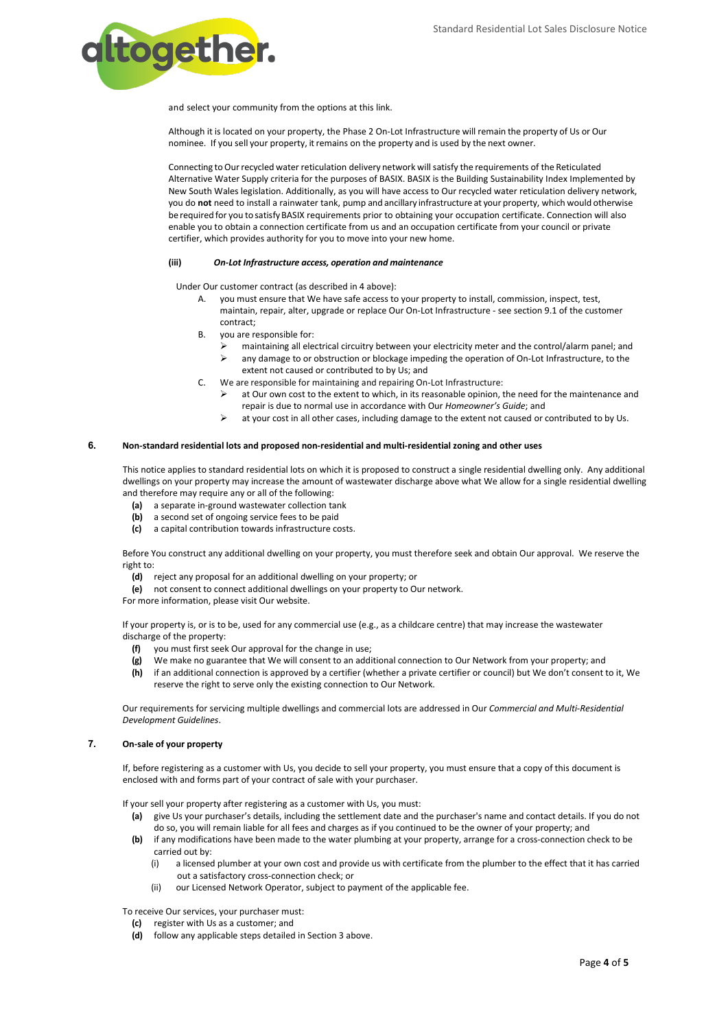

and select your community from the options at this link.

Although it is located on your property, the Phase 2 On-Lot Infrastructure will remain the property of Us or Our nominee. If you sell your property, it remains on the property and is used by the next owner.

Connecting to Our recycled water reticulation delivery network will satisfy the requirements of the Reticulated Alternative Water Supply criteria for the purposes of BASIX. BASIX is the Building Sustainability Index Implemented by New South Wales legislation. Additionally, as you will have access to Our recycled water reticulation delivery network, you do **not** need to install a rainwater tank, pump and ancillary infrastructure at your property, which would otherwise be required for you to satisfyBASIX requirements prior to obtaining your occupation certificate. Connection will also enable you to obtain a connection certificate from us and an occupation certificate from your council or private certifier, which provides authority for you to move into your new home.

#### **(iii)** *On-Lot Infrastructure access, operation and maintenance*

Under Our customer contract (as described in 4 above):

- A. you must ensure that We have safe access to your property to install, commission, inspect, test, maintain, repair, alter, upgrade or replace Our On-Lot Infrastructure - see section 9.1 of the customer contract;
- B. you are responsible for:
	- maintaining all electrical circuitry between your electricity meter and the control/alarm panel; and
	- $\triangleright$  any damage to or obstruction or blockage impeding the operation of On-Lot Infrastructure, to the extent not caused or contributed to by Us; and
- C. We are responsible for maintaining and repairing On-Lot Infrastructure:
	- at Our own cost to the extent to which, in its reasonable opinion, the need for the maintenance and repair is due to normal use in accordance with Our *Homeowner's Guide*; and
	- $\triangleright$  at your cost in all other cases, including damage to the extent not caused or contributed to by Us.

#### **6. Non-standard residential lots and proposed non-residential and multi-residential zoning and other uses**

This notice applies to standard residential lots on which it is proposed to construct a single residential dwelling only. Any additional dwellings on your property may increase the amount of wastewater discharge above what We allow for a single residential dwelling and therefore may require any or all of the following:

- **(a)** a separate in-ground wastewater collection tank
- **(b)** a second set of ongoing service fees to be paid
- **(c)** a capital contribution towards infrastructure costs.

Before You construct any additional dwelling on your property, you must therefore seek and obtain Our approval. We reserve the right to:

- **(d)** reject any proposal for an additional dwelling on your property; or
- **(e)** not consent to connect additional dwellings on your property to Our network.
- For more information, please visit Our website.

If your property is, or is to be, used for any commercial use (e.g., as a childcare centre) that may increase the wastewater discharge of the property:

- **(f)** you must first seek Our approval for the change in use;
- **(g)** We make no guarantee that We will consent to an additional connection to Our Network from your property; and
- **(h)** if an additional connection is approved by a certifier (whether a private certifier or council) but We don't consent to it, We reserve the right to serve only the existing connection to Our Network.

Our requirements for servicing multiple dwellings and commercial lots are addressed in Our *Commercial and Multi-Residential Development Guidelines*.

# **7. On-sale of your property**

If, before registering as a customer with Us, you decide to sell your property, you must ensure that a copy of this document is enclosed with and forms part of your contract of sale with your purchaser.

If your sell your property after registering as a customer with Us, you must:

- **(a)** give Us your purchaser's details, including the settlement date and the purchaser's name and contact details. If you do not do so, you will remain liable for all fees and charges as if you continued to be the owner of your property; and
- **(b)** if any modifications have been made to the water plumbing at your property, arrange for a cross-connection check to be carried out by:
	- (i) a licensed plumber at your own cost and provide us with certificate from the plumber to the effect that it has carried out a satisfactory cross-connection check; or
	- (ii) our Licensed Network Operator, subject to payment of the applicable fee.

To receive Our services, your purchaser must:

- **(c)** register with Us as a customer; and
- **(d)** follow any applicable steps detailed in Section 3 above.